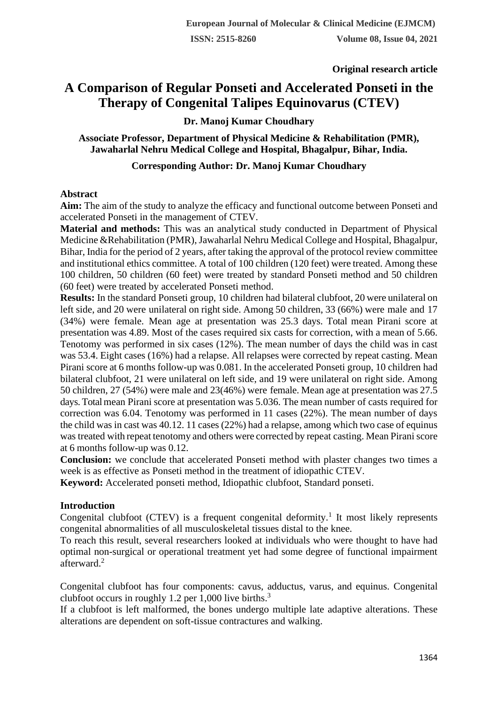**Original research article** 

# **A Comparison of Regular Ponseti and Accelerated Ponseti in the Therapy of Congenital Talipes Equinovarus (CTEV)**

**Dr. Manoj Kumar Choudhary**

**Associate Professor, Department of Physical Medicine & Rehabilitation (PMR), Jawaharlal Nehru Medical College and Hospital, Bhagalpur, Bihar, India.**

## **Corresponding Author: Dr. Manoj Kumar Choudhary**

#### **Abstract**

**Aim:** The aim of the study to analyze the efficacy and functional outcome between Ponseti and accelerated Ponseti in the management of CTEV.

**Material and methods:** This was an analytical study conducted in Department of Physical Medicine &Rehabilitation (PMR), Jawaharlal Nehru Medical College and Hospital, Bhagalpur, Bihar, India for the period of 2 years, after taking the approval of the protocol review committee and institutional ethics committee. A total of 100 children (120 feet) were treated. Among these 100 children, 50 children (60 feet) were treated by standard Ponseti method and 50 children (60 feet) were treated by accelerated Ponseti method.

**Results:** In the standard Ponseti group, 10 children had bilateral clubfoot, 20 were unilateral on left side, and 20 were unilateral on right side. Among 50 children, 33 (66%) were male and 17 (34%) were female. Mean age at presentation was 25.3 days. Total mean Pirani score at presentation was 4.89. Most of the cases required six casts for correction, with a mean of 5.66. Tenotomy was performed in six cases (12%). The mean number of days the child was in cast was 53.4. Eight cases (16%) had a relapse. All relapses were corrected by repeat casting. Mean Pirani score at 6 months follow-up was 0.081. In the accelerated Ponseti group, 10 children had bilateral clubfoot, 21 were unilateral on left side, and 19 were unilateral on right side. Among 50 children, 27 (54%) were male and 23(46%) were female. Mean age at presentation was 27.5 days.Totalmean Pirani score at presentation was 5.036. The mean number of casts required for correction was 6.04. Tenotomy was performed in 11 cases (22%). The mean number of days the child was in cast was 40.12. 11 cases (22%) had a relapse, among which two case of equinus was treated with repeat tenotomy and others were corrected by repeat casting. Mean Piraniscore at 6 months follow-up was 0.12.

**Conclusion:** we conclude that accelerated Ponseti method with plaster changes two times a week is as effective as Ponseti method in the treatment of idiopathic CTEV.

**Keyword:** Accelerated ponseti method, Idiopathic clubfoot, Standard ponseti.

## **Introduction**

Congenital clubfoot (CTEV) is a frequent congenital deformity.<sup>1</sup> It most likely represents congenital abnormalities of all musculoskeletal tissues distal to the knee.

To reach this result, several researchers looked at individuals who were thought to have had optimal non-surgical or operational treatment yet had some degree of functional impairment afterward.<sup>2</sup>

Congenital clubfoot has four components: cavus, adductus, varus, and equinus. Congenital clubfoot occurs in roughly 1.2 per 1,000 live births. $3$ 

If a clubfoot is left malformed, the bones undergo multiple late adaptive alterations. These alterations are dependent on soft-tissue contractures and walking.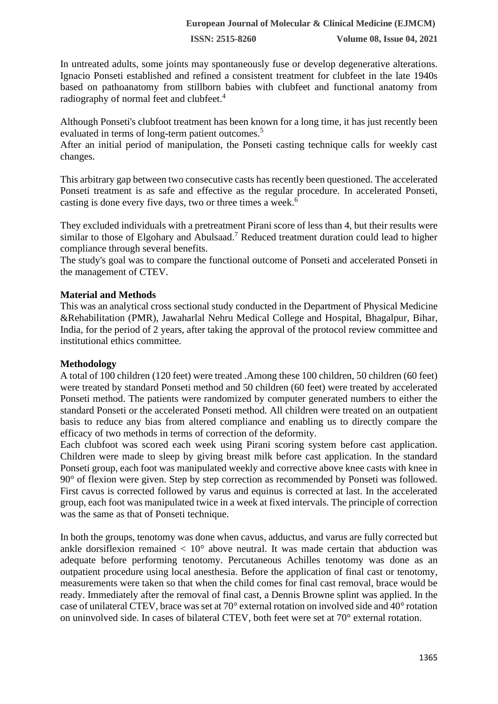**ISSN: 2515-8260 Volume 08, Issue 04, 2021**

In untreated adults, some joints may spontaneously fuse or develop degenerative alterations. Ignacio Ponseti established and refined a consistent treatment for clubfeet in the late 1940s based on pathoanatomy from stillborn babies with clubfeet and functional anatomy from radiography of normal feet and clubfeet.<sup>4</sup>

Although Ponseti's clubfoot treatment has been known for a long time, it has just recently been evaluated in terms of long-term patient outcomes.<sup>5</sup>

After an initial period of manipulation, the Ponseti casting technique calls for weekly cast changes.

This arbitrary gap between two consecutive casts has recently been questioned. The accelerated Ponseti treatment is as safe and effective as the regular procedure. In accelerated Ponseti, casting is done every five days, two or three times a week.<sup>6</sup>

They excluded individuals with a pretreatment Pirani score of less than 4, but their results were similar to those of Elgohary and Abulsaad.<sup>7</sup> Reduced treatment duration could lead to higher compliance through several benefits.

The study's goal was to compare the functional outcome of Ponseti and accelerated Ponseti in the management of CTEV.

## **Material and Methods**

This was an analytical cross sectional study conducted in the Department of Physical Medicine &Rehabilitation (PMR), Jawaharlal Nehru Medical College and Hospital, Bhagalpur, Bihar, India, for the period of 2 years, after taking the approval of the protocol review committee and institutional ethics committee.

## **Methodology**

A total of 100 children (120 feet) were treated .Among these 100 children, 50 children (60 feet) were treated by standard Ponseti method and 50 children (60 feet) were treated by accelerated Ponseti method. The patients were randomized by computer generated numbers to either the standard Ponseti or the accelerated Ponseti method. All children were treated on an outpatient basis to reduce any bias from altered compliance and enabling us to directly compare the efficacy of two methods in terms of correction of the deformity.

Each clubfoot was scored each week using Pirani scoring system before cast application. Children were made to sleep by giving breast milk before cast application. In the standard Ponseti group, each foot was manipulated weekly and corrective above knee casts with knee in 90° of flexion were given. Step by step correction as recommended by Ponseti was followed. First cavus is corrected followed by varus and equinus is corrected at last. In the accelerated group, each foot was manipulated twice in a week at fixed intervals. The principle of correction was the same as that of Ponseti technique.

In both the groups, tenotomy was done when cavus, adductus, and varus are fully corrected but ankle dorsiflexion remained  $\langle 10^\circ$  above neutral. It was made certain that abduction was adequate before performing tenotomy. Percutaneous Achilles tenotomy was done as an outpatient procedure using local anesthesia. Before the application of final cast or tenotomy, measurements were taken so that when the child comes for final cast removal, brace would be ready. Immediately after the removal of final cast, a Dennis Browne splint was applied. In the case of unilateral CTEV, brace was set at 70° external rotation on involved side and 40° rotation on uninvolved side. In cases of bilateral CTEV, both feet were set at 70° external rotation.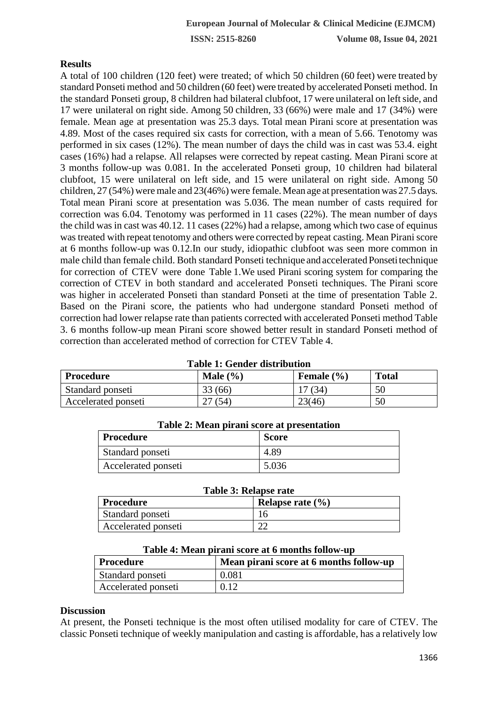## **Results**

A total of 100 children (120 feet) were treated; of which 50 children (60 feet) were treated by standard Ponseti method and 50 children (60 feet) were treated by accelerated Ponseti method. In the standard Ponseti group, 8 children had bilateral clubfoot, 17 were unilateral on left side, and 17 were unilateral on right side. Among 50 children, 33 (66%) were male and 17 (34%) were female. Mean age at presentation was 25.3 days. Total mean Pirani score at presentation was 4.89. Most of the cases required six casts for correction, with a mean of 5.66. Tenotomy was performed in six cases (12%). The mean number of days the child was in cast was 53.4. eight cases (16%) had a relapse. All relapses were corrected by repeat casting. Mean Pirani score at 3 months follow-up was 0.081. In the accelerated Ponseti group, 10 children had bilateral clubfoot, 15 were unilateral on left side, and 15 were unilateral on right side. Among 50 children, 27 (54%) were male and 23(46%) were female. Mean age at presentation was 27.5 days. Total mean Pirani score at presentation was 5.036. The mean number of casts required for correction was 6.04. Tenotomy was performed in 11 cases (22%). The mean number of days the child was in cast was 40.12. 11 cases (22%) had a relapse, among which two case of equinus was treated with repeat tenotomy and others were corrected by repeat casting. Mean Piraniscore at 6 months follow-up was 0.12.In our study, idiopathic clubfoot was seen more common in male child than female child. Both standard Ponseti technique and accelerated Ponseti technique for correction of CTEV were done Table 1.We used Pirani scoring system for comparing the correction of CTEV in both standard and accelerated Ponseti techniques. The Pirani score was higher in accelerated Ponseti than standard Ponseti at the time of presentation Table 2. Based on the Pirani score, the patients who had undergone standard Ponseti method of correction had lower relapse rate than patients corrected with accelerated Ponseti method Table 3. 6 months follow-up mean Pirani score showed better result in standard Ponseti method of correction than accelerated method of correction for CTEV Table 4.

| <b>Table 1: Gender distribution</b> |              |                |              |  |
|-------------------------------------|--------------|----------------|--------------|--|
| Procedure                           | Male $(\% )$ | Female $(\% )$ | <b>Total</b> |  |
| Standard ponseti                    | 33 (66)      | 17(34)         | 50           |  |
| Accelerated ponseti                 | (54)         | 23(46)         | 50           |  |

## **Table 1: Gender distribution**

| Table 2: Mean pirani score at presentation |              |  |  |
|--------------------------------------------|--------------|--|--|
| Procedure                                  | <b>Score</b> |  |  |
| Standard ponseti                           | 4.89         |  |  |
| Accelerated ponseti                        | 5.036        |  |  |

|  |  |  | <b>Table 3: Relapse rate</b> |  |
|--|--|--|------------------------------|--|
|--|--|--|------------------------------|--|

| Procedure           | Relapse rate $(\% )$ |
|---------------------|----------------------|
| Standard ponseti    |                      |
| Accelerated ponseti | $\sim$               |

| Table 4: Mean pirani score at 6 months follow-up |                                         |  |
|--------------------------------------------------|-----------------------------------------|--|
| Procedure                                        | Mean pirani score at 6 months follow-up |  |
| Standard ponseti                                 | 0.081                                   |  |

Accelerated ponseti  $\vert$  0.12

## **Table 4: Mean pirani score at 6 months follow-up**

# **Discussion**

At present, the Ponseti technique is the most often utilised modality for care of CTEV. The classic Ponseti technique of weekly manipulation and casting is affordable, has a relatively low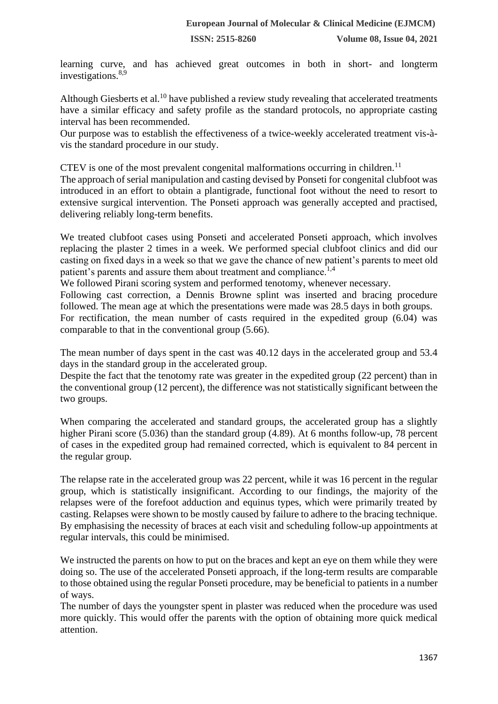learning curve, and has achieved great outcomes in both in short- and longterm investigations.8,9

Although Giesberts et al.<sup>10</sup> have published a review study revealing that accelerated treatments have a similar efficacy and safety profile as the standard protocols, no appropriate casting interval has been recommended.

Our purpose was to establish the effectiveness of a twice-weekly accelerated treatment vis-àvis the standard procedure in our study.

CTEV is one of the most prevalent congenital malformations occurring in children.<sup>11</sup> The approach of serial manipulation and casting devised by Ponseti for congenital clubfoot was introduced in an effort to obtain a plantigrade, functional foot without the need to resort to extensive surgical intervention. The Ponseti approach was generally accepted and practised, delivering reliably long-term benefits.

We treated clubfoot cases using Ponseti and accelerated Ponseti approach, which involves replacing the plaster 2 times in a week. We performed special clubfoot clinics and did our casting on fixed days in a week so that we gave the chance of new patient's parents to meet old patient's parents and assure them about treatment and compliance.<sup>1,4</sup>

We followed Pirani scoring system and performed tenotomy, whenever necessary.

Following cast correction, a Dennis Browne splint was inserted and bracing procedure followed. The mean age at which the presentations were made was 28.5 days in both groups. For rectification, the mean number of casts required in the expedited group (6.04) was comparable to that in the conventional group (5.66).

The mean number of days spent in the cast was 40.12 days in the accelerated group and 53.4 days in the standard group in the accelerated group.

Despite the fact that the tenotomy rate was greater in the expedited group (22 percent) than in the conventional group (12 percent), the difference was not statistically significant between the two groups.

When comparing the accelerated and standard groups, the accelerated group has a slightly higher Pirani score (5.036) than the standard group (4.89). At 6 months follow-up, 78 percent of cases in the expedited group had remained corrected, which is equivalent to 84 percent in the regular group.

The relapse rate in the accelerated group was 22 percent, while it was 16 percent in the regular group, which is statistically insignificant. According to our findings, the majority of the relapses were of the forefoot adduction and equinus types, which were primarily treated by casting. Relapses were shown to be mostly caused by failure to adhere to the bracing technique. By emphasising the necessity of braces at each visit and scheduling follow-up appointments at regular intervals, this could be minimised.

We instructed the parents on how to put on the braces and kept an eye on them while they were doing so. The use of the accelerated Ponseti approach, if the long-term results are comparable to those obtained using the regular Ponseti procedure, may be beneficial to patients in a number of ways.

The number of days the youngster spent in plaster was reduced when the procedure was used more quickly. This would offer the parents with the option of obtaining more quick medical attention.